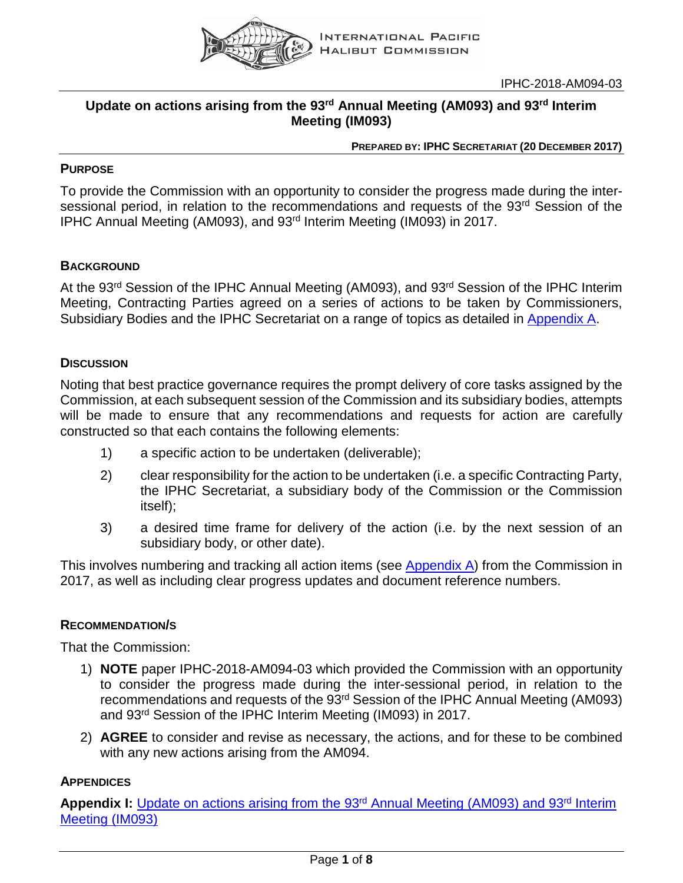

IPHC-2018-AM094-03

## **Update on actions arising from the 93rd Annual Meeting (AM093) and 93rd Interim Meeting (IM093)**

#### **PREPARED BY: IPHC SECRETARIAT (20 DECEMBER 2017)**

## **PURPOSE**

To provide the Commission with an opportunity to consider the progress made during the intersessional period, in relation to the recommendations and requests of the 93<sup>rd</sup> Session of the IPHC Annual Meeting (AM093), and 93rd Interim Meeting (IM093) in 2017.

### **BACKGROUND**

At the 93<sup>rd</sup> Session of the IPHC Annual Meeting (AM093), and 93<sup>rd</sup> Session of the IPHC Interim Meeting, Contracting Parties agreed on a series of actions to be taken by Commissioners, Subsidiary Bodies and the IPHC Secretariat on a range of topics as detailed in [Appendix](#page-1-0) A.

### **DISCUSSION**

Noting that best practice governance requires the prompt delivery of core tasks assigned by the Commission, at each subsequent session of the Commission and its subsidiary bodies, attempts will be made to ensure that any recommendations and requests for action are carefully constructed so that each contains the following elements:

- 1) a specific action to be undertaken (deliverable);
- 2) clear responsibility for the action to be undertaken (i.e. a specific Contracting Party, the IPHC Secretariat, a subsidiary body of the Commission or the Commission itself);
- 3) a desired time frame for delivery of the action (i.e. by the next session of an subsidiary body, or other date).

This involves numbering and tracking all action items (see [Appendix A\)](#page-1-0) from the Commission in 2017, as well as including clear progress updates and document reference numbers.

### **RECOMMENDATION/S**

That the Commission:

- 1) **NOTE** paper IPHC-2018-AM094-03 which provided the Commission with an opportunity to consider the progress made during the inter-sessional period, in relation to the recommendations and requests of the 93rd Session of the IPHC Annual Meeting (AM093) and 93<sup>rd</sup> Session of the IPHC Interim Meeting (IM093) in 2017.
- 2) **AGREE** to consider and revise as necessary, the actions, and for these to be combined with any new actions arising from the AM094.

### **APPENDICES**

Appendix I: Update on actions arising from the 93<sup>rd</sup> Annual Meeting (AM093) and 93<sup>rd</sup> Interim [Meeting \(IM093\)](#page-1-0)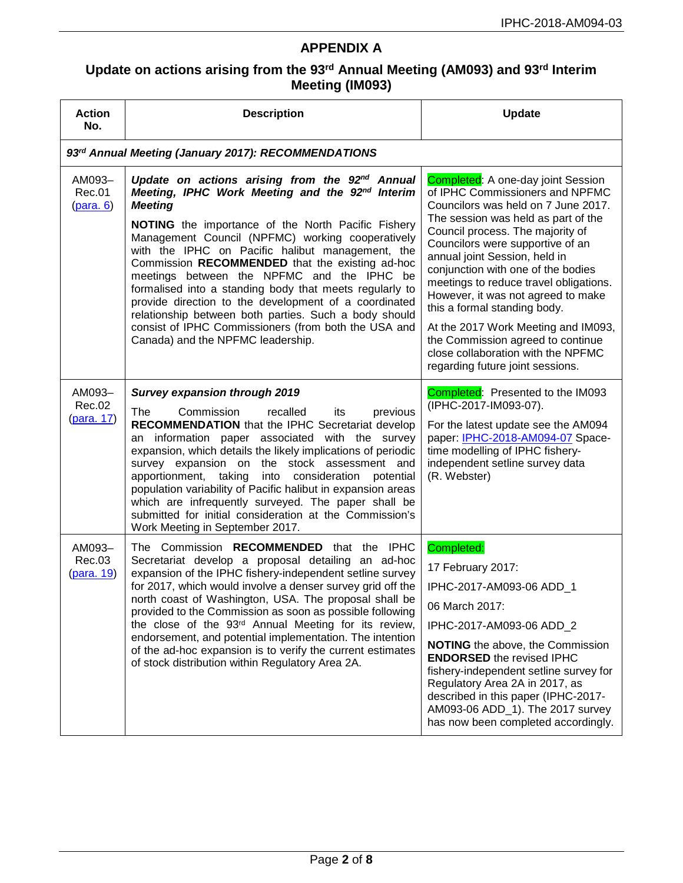# **APPENDIX A**

# <span id="page-1-0"></span>**Update on actions arising from the 93rd Annual Meeting (AM093) and 93rd Interim Meeting (IM093)**

| <b>Action</b><br>No.           | <b>Description</b>                                                                                                                                                                                                                                                                                                                                                                                                                                                                                                                                                                                                                                                                   | <b>Update</b>                                                                                                                                                                                                                                                                                                                                                                                                                                                                                                                                                                   |  |  |
|--------------------------------|--------------------------------------------------------------------------------------------------------------------------------------------------------------------------------------------------------------------------------------------------------------------------------------------------------------------------------------------------------------------------------------------------------------------------------------------------------------------------------------------------------------------------------------------------------------------------------------------------------------------------------------------------------------------------------------|---------------------------------------------------------------------------------------------------------------------------------------------------------------------------------------------------------------------------------------------------------------------------------------------------------------------------------------------------------------------------------------------------------------------------------------------------------------------------------------------------------------------------------------------------------------------------------|--|--|
|                                | 93rd Annual Meeting (January 2017): RECOMMENDATIONS                                                                                                                                                                                                                                                                                                                                                                                                                                                                                                                                                                                                                                  |                                                                                                                                                                                                                                                                                                                                                                                                                                                                                                                                                                                 |  |  |
| AM093-<br>Rec.01<br>(para. 6)  | Update on actions arising from the 92 <sup>nd</sup> Annual<br>Meeting, IPHC Work Meeting and the 92 <sup>nd</sup> Interim<br><b>Meeting</b><br>NOTING the importance of the North Pacific Fishery<br>Management Council (NPFMC) working cooperatively<br>with the IPHC on Pacific halibut management, the<br>Commission RECOMMENDED that the existing ad-hoc<br>meetings between the NPFMC and the IPHC be<br>formalised into a standing body that meets regularly to<br>provide direction to the development of a coordinated<br>relationship between both parties. Such a body should<br>consist of IPHC Commissioners (from both the USA and<br>Canada) and the NPFMC leadership. | <b>Completed:</b> A one-day joint Session<br>of IPHC Commissioners and NPFMC<br>Councilors was held on 7 June 2017.<br>The session was held as part of the<br>Council process. The majority of<br>Councilors were supportive of an<br>annual joint Session, held in<br>conjunction with one of the bodies<br>meetings to reduce travel obligations.<br>However, it was not agreed to make<br>this a formal standing body.<br>At the 2017 Work Meeting and IM093,<br>the Commission agreed to continue<br>close collaboration with the NPFMC<br>regarding future joint sessions. |  |  |
| AM093-<br>Rec.02<br>(para. 17) | <b>Survey expansion through 2019</b><br>The<br>Commission<br>recalled<br>previous<br>its<br><b>RECOMMENDATION</b> that the IPHC Secretariat develop<br>an information paper associated with the survey<br>expansion, which details the likely implications of periodic<br>survey expansion on the stock assessment and<br>apportionment, taking<br>into consideration<br>potential<br>population variability of Pacific halibut in expansion areas<br>which are infrequently surveyed. The paper shall be<br>submitted for initial consideration at the Commission's<br>Work Meeting in September 2017.                                                                              | Completed: Presented to the IM093<br>(IPHC-2017-IM093-07).<br>For the latest update see the AM094<br>paper: IPHC-2018-AM094-07 Space-<br>time modelling of IPHC fishery-<br>independent setline survey data<br>(R. Webster)                                                                                                                                                                                                                                                                                                                                                     |  |  |
| AM093-<br>Rec.03<br>(para. 19) | The Commission RECOMMENDED that the IPHC<br>Secretariat develop a proposal detailing an ad-hoc<br>expansion of the IPHC fishery-independent setline survey<br>for 2017, which would involve a denser survey grid off the<br>north coast of Washington, USA. The proposal shall be<br>provided to the Commission as soon as possible following<br>the close of the 93 <sup>rd</sup> Annual Meeting for its review,<br>endorsement, and potential implementation. The intention<br>of the ad-hoc expansion is to verify the current estimates<br>of stock distribution within Regulatory Area 2A.                                                                                      | Completed:<br>17 February 2017:<br>IPHC-2017-AM093-06 ADD 1<br>06 March 2017:<br>IPHC-2017-AM093-06 ADD_2<br><b>NOTING</b> the above, the Commission<br><b>ENDORSED</b> the revised IPHC<br>fishery-independent setline survey for<br>Regulatory Area 2A in 2017, as<br>described in this paper (IPHC-2017-<br>AM093-06 ADD 1). The 2017 survey<br>has now been completed accordingly.                                                                                                                                                                                          |  |  |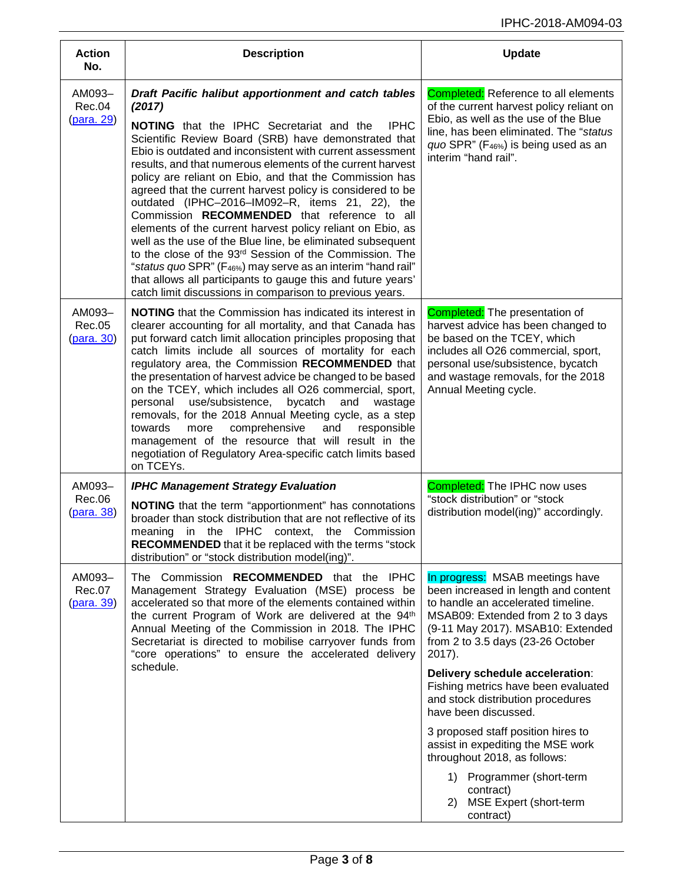| <b>Action</b><br>No.                  | <b>Description</b>                                                                                                                                                                                                                                                                                                                                                                                                                                                                                                                                                                                                                                                                                                                                                                                                                                                                                                                                         | <b>Update</b>                                                                                                                                                                                                                                                                                                                                                                                                                                                                                                                                                                      |
|---------------------------------------|------------------------------------------------------------------------------------------------------------------------------------------------------------------------------------------------------------------------------------------------------------------------------------------------------------------------------------------------------------------------------------------------------------------------------------------------------------------------------------------------------------------------------------------------------------------------------------------------------------------------------------------------------------------------------------------------------------------------------------------------------------------------------------------------------------------------------------------------------------------------------------------------------------------------------------------------------------|------------------------------------------------------------------------------------------------------------------------------------------------------------------------------------------------------------------------------------------------------------------------------------------------------------------------------------------------------------------------------------------------------------------------------------------------------------------------------------------------------------------------------------------------------------------------------------|
| AM093-<br>Rec.04<br><u>(para. 29)</u> | Draft Pacific halibut apportionment and catch tables<br>(2017)<br><b>IPHC</b><br><b>NOTING</b> that the IPHC Secretariat and the<br>Scientific Review Board (SRB) have demonstrated that<br>Ebio is outdated and inconsistent with current assessment<br>results, and that numerous elements of the current harvest<br>policy are reliant on Ebio, and that the Commission has<br>agreed that the current harvest policy is considered to be<br>outdated (IPHC-2016-IM092-R, items 21, 22), the<br>Commission RECOMMENDED that reference to all<br>elements of the current harvest policy reliant on Ebio, as<br>well as the use of the Blue line, be eliminated subsequent<br>to the close of the 93 <sup>rd</sup> Session of the Commission. The<br>"status quo SPR" (F <sub>46%</sub> ) may serve as an interim "hand rail"<br>that allows all participants to gauge this and future years'<br>catch limit discussions in comparison to previous years. | <b>Completed:</b> Reference to all elements<br>of the current harvest policy reliant on<br>Ebio, as well as the use of the Blue<br>line, has been eliminated. The "status<br>quo SPR" (F <sub>46%</sub> ) is being used as an<br>interim "hand rail".                                                                                                                                                                                                                                                                                                                              |
| AM093-<br>Rec.05<br>(para. 30)        | <b>NOTING</b> that the Commission has indicated its interest in<br>clearer accounting for all mortality, and that Canada has<br>put forward catch limit allocation principles proposing that<br>catch limits include all sources of mortality for each<br>regulatory area, the Commission RECOMMENDED that<br>the presentation of harvest advice be changed to be based<br>on the TCEY, which includes all O26 commercial, sport,<br>use/subsistence,<br>bycatch<br>personal<br>and<br>wastage<br>removals, for the 2018 Annual Meeting cycle, as a step<br>towards<br>comprehensive<br>and<br>responsible<br>more<br>management of the resource that will result in the<br>negotiation of Regulatory Area-specific catch limits based<br>on TCEYs.                                                                                                                                                                                                        | <b>Completed:</b> The presentation of<br>harvest advice has been changed to<br>be based on the TCEY, which<br>includes all O26 commercial, sport,<br>personal use/subsistence, bycatch<br>and wastage removals, for the 2018<br>Annual Meeting cycle.                                                                                                                                                                                                                                                                                                                              |
| AM093-<br>Rec.06<br>(para. 38)        | <b>IPHC Management Strategy Evaluation</b><br><b>NOTING</b> that the term "apportionment" has connotations<br>broader than stock distribution that are not reflective of its<br>meaning in the IPHC context, the Commission<br><b>RECOMMENDED</b> that it be replaced with the terms "stock<br>distribution" or "stock distribution model(ing)".                                                                                                                                                                                                                                                                                                                                                                                                                                                                                                                                                                                                           | <b>Completed:</b> The IPHC now uses<br>"stock distribution" or "stock<br>distribution model(ing)" accordingly.                                                                                                                                                                                                                                                                                                                                                                                                                                                                     |
| AM093-<br>Rec.07<br><u>(para. 39)</u> | The Commission RECOMMENDED that the IPHC<br>Management Strategy Evaluation (MSE) process be<br>accelerated so that more of the elements contained within<br>the current Program of Work are delivered at the 94th<br>Annual Meeting of the Commission in 2018. The IPHC<br>Secretariat is directed to mobilise carryover funds from<br>"core operations" to ensure the accelerated delivery<br>schedule.                                                                                                                                                                                                                                                                                                                                                                                                                                                                                                                                                   | In progress: MSAB meetings have<br>been increased in length and content<br>to handle an accelerated timeline.<br>MSAB09: Extended from 2 to 3 days<br>(9-11 May 2017). MSAB10: Extended<br>from 2 to 3.5 days (23-26 October<br>2017).<br>Delivery schedule acceleration:<br>Fishing metrics have been evaluated<br>and stock distribution procedures<br>have been discussed.<br>3 proposed staff position hires to<br>assist in expediting the MSE work<br>throughout 2018, as follows:<br>Programmer (short-term<br>1)<br>contract)<br>MSE Expert (short-term<br>2)<br>contract) |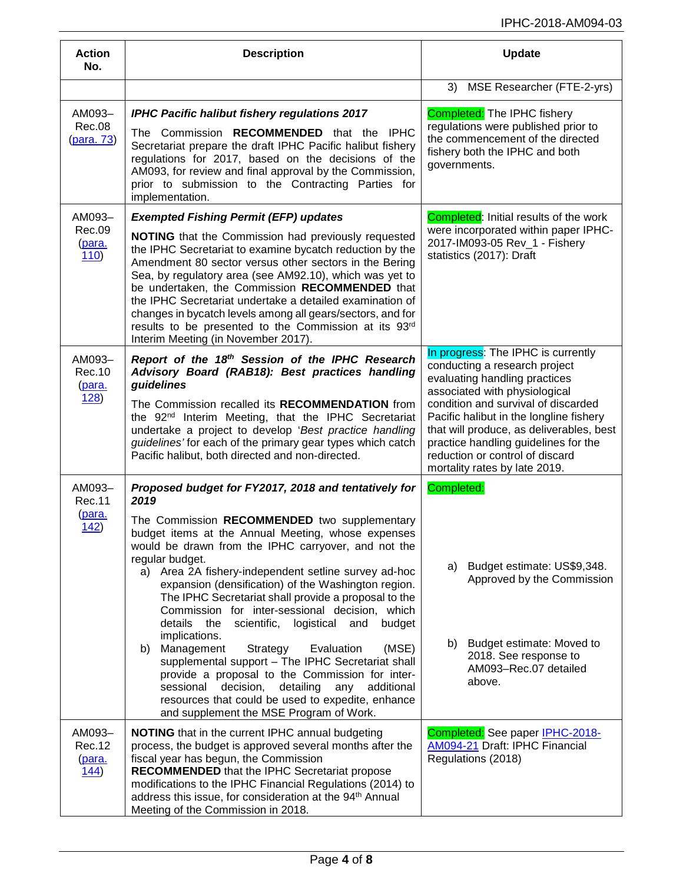| <b>Action</b><br>No.               | <b>Description</b>                                                                                                                                                                                                                                                                                                                                                                                                                                                                                                                         | <b>Update</b>                                                                                                                                                                                                                                                           |
|------------------------------------|--------------------------------------------------------------------------------------------------------------------------------------------------------------------------------------------------------------------------------------------------------------------------------------------------------------------------------------------------------------------------------------------------------------------------------------------------------------------------------------------------------------------------------------------|-------------------------------------------------------------------------------------------------------------------------------------------------------------------------------------------------------------------------------------------------------------------------|
|                                    |                                                                                                                                                                                                                                                                                                                                                                                                                                                                                                                                            | MSE Researcher (FTE-2-yrs)<br>3)                                                                                                                                                                                                                                        |
| AM093-<br>Rec.08<br>(para. 73)     | <b>IPHC Pacific halibut fishery regulations 2017</b><br>The Commission RECOMMENDED that the IPHC<br>Secretariat prepare the draft IPHC Pacific halibut fishery<br>regulations for 2017, based on the decisions of the<br>AM093, for review and final approval by the Commission,<br>prior to submission to the Contracting Parties for<br>implementation.                                                                                                                                                                                  | <b>Completed:</b> The IPHC fishery<br>regulations were published prior to<br>the commencement of the directed<br>fishery both the IPHC and both<br>governments.                                                                                                         |
| AM093-                             | <b>Exempted Fishing Permit (EFP) updates</b>                                                                                                                                                                                                                                                                                                                                                                                                                                                                                               | <b>Completed:</b> Initial results of the work                                                                                                                                                                                                                           |
| Rec.09<br>(para.<br>110)           | NOTING that the Commission had previously requested<br>the IPHC Secretariat to examine bycatch reduction by the<br>Amendment 80 sector versus other sectors in the Bering<br>Sea, by regulatory area (see AM92.10), which was yet to<br>be undertaken, the Commission RECOMMENDED that<br>the IPHC Secretariat undertake a detailed examination of<br>changes in bycatch levels among all gears/sectors, and for<br>results to be presented to the Commission at its 93rd<br>Interim Meeting (in November 2017).                           | were incorporated within paper IPHC-<br>2017-IM093-05 Rev_1 - Fishery<br>statistics (2017): Draft                                                                                                                                                                       |
| AM093-<br>Rec. 10<br>(para.        | Report of the 18th Session of the IPHC Research<br>Advisory Board (RAB18): Best practices handling<br>guidelines                                                                                                                                                                                                                                                                                                                                                                                                                           | In progress: The IPHC is currently<br>conducting a research project<br>evaluating handling practices                                                                                                                                                                    |
| 128)                               | The Commission recalled its RECOMMENDATION from<br>the 92 <sup>nd</sup> Interim Meeting, that the IPHC Secretariat<br>undertake a project to develop 'Best practice handling<br>guidelines' for each of the primary gear types which catch<br>Pacific halibut, both directed and non-directed.                                                                                                                                                                                                                                             | associated with physiological<br>condition and survival of discarded<br>Pacific halibut in the longline fishery<br>that will produce, as deliverables, best<br>practice handling guidelines for the<br>reduction or control of discard<br>mortality rates by late 2019. |
| AM093-<br><b>Rec.11</b>            | Proposed budget for FY2017, 2018 and tentatively for<br>2019                                                                                                                                                                                                                                                                                                                                                                                                                                                                               | Completed:                                                                                                                                                                                                                                                              |
| (para.<br>142)                     | The Commission RECOMMENDED two supplementary<br>budget items at the Annual Meeting, whose expenses<br>would be drawn from the IPHC carryover, and not the<br>regular budget.<br>a) Area 2A fishery-independent setline survey ad-hoc<br>expansion (densification) of the Washington region.<br>The IPHC Secretariat shall provide a proposal to the<br>Commission for inter-sessional decision, which<br>details<br>scientific,<br>logistical<br>budget<br>the<br>and<br>implications.<br>(MSE)<br>b) Management<br>Strategy<br>Evaluation | Budget estimate: US\$9,348.<br>a)<br>Approved by the Commission<br>Budget estimate: Moved to<br>b)<br>2018. See response to                                                                                                                                             |
|                                    | supplemental support - The IPHC Secretariat shall<br>provide a proposal to the Commission for inter-<br>detailing<br>sessional<br>decision,<br>any<br>additional<br>resources that could be used to expedite, enhance<br>and supplement the MSE Program of Work.                                                                                                                                                                                                                                                                           | AM093-Rec.07 detailed<br>above.                                                                                                                                                                                                                                         |
| AM093-<br>Rec.12<br>(para.<br>144) | <b>NOTING</b> that in the current IPHC annual budgeting<br>process, the budget is approved several months after the<br>fiscal year has begun, the Commission<br><b>RECOMMENDED</b> that the IPHC Secretariat propose<br>modifications to the IPHC Financial Regulations (2014) to<br>address this issue, for consideration at the 94 <sup>th</sup> Annual<br>Meeting of the Commission in 2018.                                                                                                                                            | Completed: See paper IPHC-2018-<br>AM094-21 Draft: IPHC Financial<br>Regulations (2018)                                                                                                                                                                                 |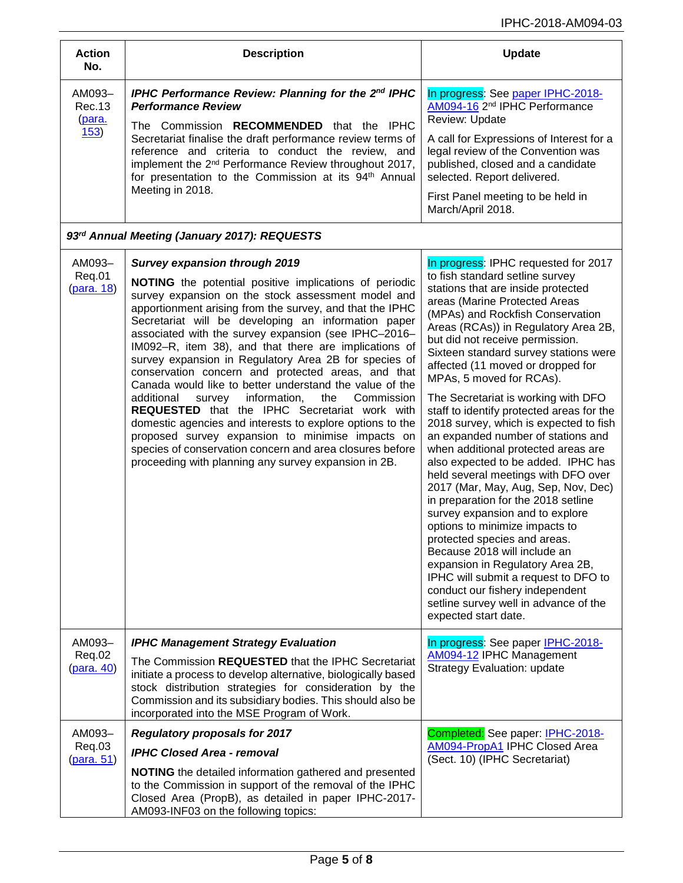| <b>Action</b><br>No.                         | <b>Description</b>                                                                                                                                                                                                                                                                                                                                                                                                                                                                                                                                                                                                                                                                                                                                                                                                                                                                                                           | <b>Update</b>                                                                                                                                                                                                                                                                                                                                                                                                                                                                                                                                                                                                                                                                                                                                                                                                                                                                                                                                                                                                                                                       |
|----------------------------------------------|------------------------------------------------------------------------------------------------------------------------------------------------------------------------------------------------------------------------------------------------------------------------------------------------------------------------------------------------------------------------------------------------------------------------------------------------------------------------------------------------------------------------------------------------------------------------------------------------------------------------------------------------------------------------------------------------------------------------------------------------------------------------------------------------------------------------------------------------------------------------------------------------------------------------------|---------------------------------------------------------------------------------------------------------------------------------------------------------------------------------------------------------------------------------------------------------------------------------------------------------------------------------------------------------------------------------------------------------------------------------------------------------------------------------------------------------------------------------------------------------------------------------------------------------------------------------------------------------------------------------------------------------------------------------------------------------------------------------------------------------------------------------------------------------------------------------------------------------------------------------------------------------------------------------------------------------------------------------------------------------------------|
| AM093-<br>Rec.13<br>(para.<br>153)           | IPHC Performance Review: Planning for the 2nd IPHC<br><b>Performance Review</b><br>The Commission RECOMMENDED that the IPHC<br>Secretariat finalise the draft performance review terms of<br>reference and criteria to conduct the review, and<br>implement the 2 <sup>nd</sup> Performance Review throughout 2017,<br>for presentation to the Commission at its 94 <sup>th</sup> Annual<br>Meeting in 2018.                                                                                                                                                                                                                                                                                                                                                                                                                                                                                                                 | In progress: See paper IPHC-2018-<br>AM094-16 2 <sup>nd</sup> IPHC Performance<br>Review: Update                                                                                                                                                                                                                                                                                                                                                                                                                                                                                                                                                                                                                                                                                                                                                                                                                                                                                                                                                                    |
|                                              |                                                                                                                                                                                                                                                                                                                                                                                                                                                                                                                                                                                                                                                                                                                                                                                                                                                                                                                              | A call for Expressions of Interest for a<br>legal review of the Convention was<br>published, closed and a candidate<br>selected. Report delivered.                                                                                                                                                                                                                                                                                                                                                                                                                                                                                                                                                                                                                                                                                                                                                                                                                                                                                                                  |
|                                              |                                                                                                                                                                                                                                                                                                                                                                                                                                                                                                                                                                                                                                                                                                                                                                                                                                                                                                                              | First Panel meeting to be held in<br>March/April 2018.                                                                                                                                                                                                                                                                                                                                                                                                                                                                                                                                                                                                                                                                                                                                                                                                                                                                                                                                                                                                              |
| 93rd Annual Meeting (January 2017): REQUESTS |                                                                                                                                                                                                                                                                                                                                                                                                                                                                                                                                                                                                                                                                                                                                                                                                                                                                                                                              |                                                                                                                                                                                                                                                                                                                                                                                                                                                                                                                                                                                                                                                                                                                                                                                                                                                                                                                                                                                                                                                                     |
| AM093-<br>Req.01<br>(para. 18)               | <b>Survey expansion through 2019</b><br>NOTING the potential positive implications of periodic<br>survey expansion on the stock assessment model and<br>apportionment arising from the survey, and that the IPHC<br>Secretariat will be developing an information paper<br>associated with the survey expansion (see IPHC-2016-<br>IM092-R, item 38), and that there are implications of<br>survey expansion in Regulatory Area 2B for species of<br>conservation concern and protected areas, and that<br>Canada would like to better understand the value of the<br>information,<br>the<br>Commission<br>additional<br>survey<br><b>REQUESTED</b> that the IPHC Secretariat work with<br>domestic agencies and interests to explore options to the<br>proposed survey expansion to minimise impacts on<br>species of conservation concern and area closures before<br>proceeding with planning any survey expansion in 2B. | In progress: IPHC requested for 2017<br>to fish standard setline survey<br>stations that are inside protected<br>areas (Marine Protected Areas<br>(MPAs) and Rockfish Conservation<br>Areas (RCAs)) in Regulatory Area 2B,<br>but did not receive permission.<br>Sixteen standard survey stations were<br>affected (11 moved or dropped for<br>MPAs, 5 moved for RCAs).<br>The Secretariat is working with DFO<br>staff to identify protected areas for the<br>2018 survey, which is expected to fish<br>an expanded number of stations and<br>when additional protected areas are<br>also expected to be added. IPHC has<br>held several meetings with DFO over<br>2017 (Mar, May, Aug, Sep, Nov, Dec)<br>in preparation for the 2018 setline<br>survey expansion and to explore<br>options to minimize impacts to<br>protected species and areas.<br>Because 2018 will include an<br>expansion in Regulatory Area 2B,<br>IPHC will submit a request to DFO to<br>conduct our fishery independent<br>setline survey well in advance of the<br>expected start date. |
| AM093-<br>Req.02<br>(para. 40)               | <b>IPHC Management Strategy Evaluation</b>                                                                                                                                                                                                                                                                                                                                                                                                                                                                                                                                                                                                                                                                                                                                                                                                                                                                                   | In progress: See paper IPHC-2018-<br>AM094-12 IPHC Management<br><b>Strategy Evaluation: update</b>                                                                                                                                                                                                                                                                                                                                                                                                                                                                                                                                                                                                                                                                                                                                                                                                                                                                                                                                                                 |
|                                              | The Commission REQUESTED that the IPHC Secretariat<br>initiate a process to develop alternative, biologically based<br>stock distribution strategies for consideration by the<br>Commission and its subsidiary bodies. This should also be<br>incorporated into the MSE Program of Work.                                                                                                                                                                                                                                                                                                                                                                                                                                                                                                                                                                                                                                     |                                                                                                                                                                                                                                                                                                                                                                                                                                                                                                                                                                                                                                                                                                                                                                                                                                                                                                                                                                                                                                                                     |
| AM093-<br>Req.03<br>(para. 51)               | <b>Regulatory proposals for 2017</b><br><b>IPHC Closed Area - removal</b><br><b>NOTING</b> the detailed information gathered and presented<br>to the Commission in support of the removal of the IPHC<br>Closed Area (PropB), as detailed in paper IPHC-2017-<br>AM093-INF03 on the following topics:                                                                                                                                                                                                                                                                                                                                                                                                                                                                                                                                                                                                                        | Completed: See paper: IPHC-2018-<br>AM094-PropA1 IPHC Closed Area<br>(Sect. 10) (IPHC Secretariat)                                                                                                                                                                                                                                                                                                                                                                                                                                                                                                                                                                                                                                                                                                                                                                                                                                                                                                                                                                  |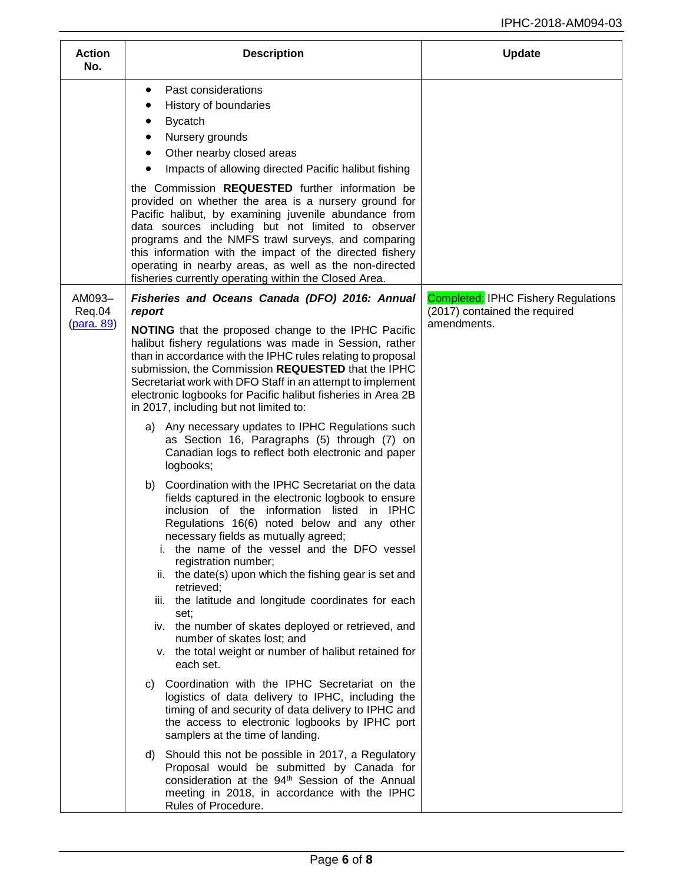| <b>Action</b><br>No. | <b>Description</b>                                                                                                                                                                                                                                                                                                                                                                                                                                                                                                                                                                                                               | <b>Update</b>                                                               |
|----------------------|----------------------------------------------------------------------------------------------------------------------------------------------------------------------------------------------------------------------------------------------------------------------------------------------------------------------------------------------------------------------------------------------------------------------------------------------------------------------------------------------------------------------------------------------------------------------------------------------------------------------------------|-----------------------------------------------------------------------------|
|                      | Past considerations<br>٠<br>History of boundaries<br>$\bullet$<br><b>Bycatch</b><br>Nursery grounds<br>Other nearby closed areas<br>Impacts of allowing directed Pacific halibut fishing                                                                                                                                                                                                                                                                                                                                                                                                                                         |                                                                             |
|                      | the Commission <b>REQUESTED</b> further information be<br>provided on whether the area is a nursery ground for<br>Pacific halibut, by examining juvenile abundance from<br>data sources including but not limited to observer<br>programs and the NMFS trawl surveys, and comparing<br>this information with the impact of the directed fishery<br>operating in nearby areas, as well as the non-directed<br>fisheries currently operating within the Closed Area.                                                                                                                                                               |                                                                             |
| AM093-<br>Req.04     | Fisheries and Oceans Canada (DFO) 2016: Annual<br>report                                                                                                                                                                                                                                                                                                                                                                                                                                                                                                                                                                         | <b>Completed: IPHC Fishery Regulations</b><br>(2017) contained the required |
| (para. 89)           | NOTING that the proposed change to the IPHC Pacific<br>halibut fishery regulations was made in Session, rather<br>than in accordance with the IPHC rules relating to proposal<br>submission, the Commission REQUESTED that the IPHC<br>Secretariat work with DFO Staff in an attempt to implement<br>electronic logbooks for Pacific halibut fisheries in Area 2B<br>in 2017, including but not limited to:                                                                                                                                                                                                                      | amendments.                                                                 |
|                      | a) Any necessary updates to IPHC Regulations such<br>as Section 16, Paragraphs (5) through (7) on<br>Canadian logs to reflect both electronic and paper<br>logbooks;                                                                                                                                                                                                                                                                                                                                                                                                                                                             |                                                                             |
|                      | Coordination with the IPHC Secretariat on the data<br>b)<br>fields captured in the electronic logbook to ensure<br>inclusion of the information listed in IPHC<br>Regulations 16(6) noted below and any other<br>necessary fields as mutually agreed;<br>i. the name of the vessel and the DFO vessel<br>registration number;<br>ii. the date(s) upon which the fishing gear is set and<br>retrieved;<br>iii. the latitude and longitude coordinates for each<br>set:<br>iv. the number of skates deployed or retrieved, and<br>number of skates lost; and<br>v. the total weight or number of halibut retained for<br>each set. |                                                                             |
|                      | Coordination with the IPHC Secretariat on the<br>C)<br>logistics of data delivery to IPHC, including the<br>timing of and security of data delivery to IPHC and<br>the access to electronic logbooks by IPHC port<br>samplers at the time of landing.                                                                                                                                                                                                                                                                                                                                                                            |                                                                             |
|                      | d) Should this not be possible in 2017, a Regulatory<br>Proposal would be submitted by Canada for<br>consideration at the 94 <sup>th</sup> Session of the Annual<br>meeting in 2018, in accordance with the IPHC<br>Rules of Procedure.                                                                                                                                                                                                                                                                                                                                                                                          |                                                                             |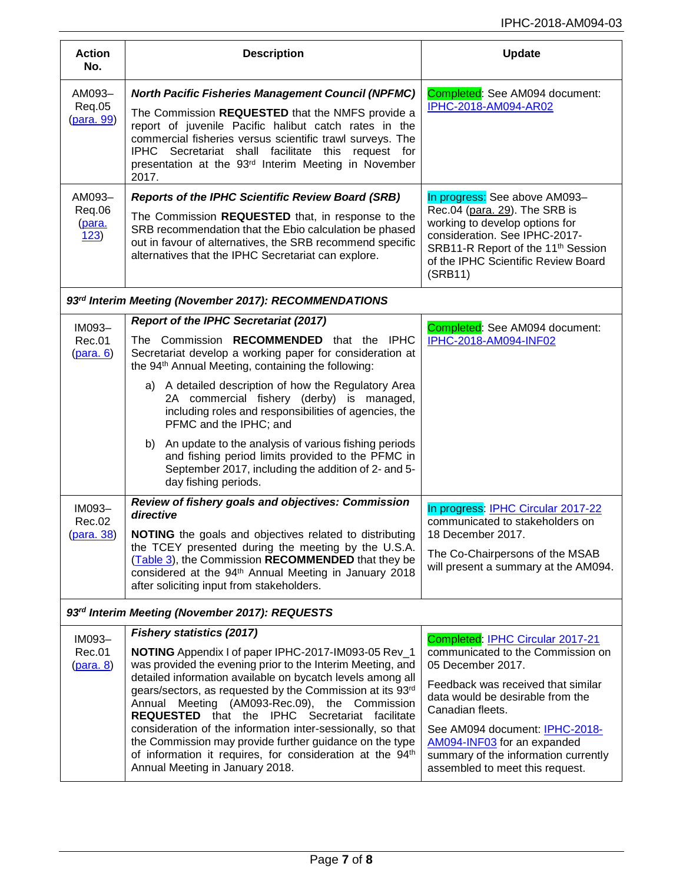| <b>Action</b><br>No.                           | <b>Description</b>                                                                                                                                                                                                                                                                                                                                                                                                                                                                                                                                                                                                               | <b>Update</b>                                                                                                                                                                                                                                                                                                                        |
|------------------------------------------------|----------------------------------------------------------------------------------------------------------------------------------------------------------------------------------------------------------------------------------------------------------------------------------------------------------------------------------------------------------------------------------------------------------------------------------------------------------------------------------------------------------------------------------------------------------------------------------------------------------------------------------|--------------------------------------------------------------------------------------------------------------------------------------------------------------------------------------------------------------------------------------------------------------------------------------------------------------------------------------|
| AM093-<br>Req.05<br><u>(para. 99)</u>          | <b>North Pacific Fisheries Management Council (NPFMC)</b><br>The Commission REQUESTED that the NMFS provide a<br>report of juvenile Pacific halibut catch rates in the<br>commercial fisheries versus scientific trawl surveys. The<br>IPHC Secretariat shall facilitate this request for<br>presentation at the 93 <sup>rd</sup> Interim Meeting in November<br>2017.                                                                                                                                                                                                                                                           | Completed: See AM094 document:<br>IPHC-2018-AM094-AR02                                                                                                                                                                                                                                                                               |
| AM093-<br>Req.06<br>(para.<br>123)             | <b>Reports of the IPHC Scientific Review Board (SRB)</b><br>The Commission REQUESTED that, in response to the<br>SRB recommendation that the Ebio calculation be phased<br>out in favour of alternatives, the SRB recommend specific<br>alternatives that the IPHC Secretariat can explore.                                                                                                                                                                                                                                                                                                                                      | In progress: See above AM093-<br>Rec.04 (para. 29). The SRB is<br>working to develop options for<br>consideration. See IPHC-2017-<br>SRB11-R Report of the 11 <sup>th</sup> Session<br>of the IPHC Scientific Review Board<br>(SRB11)                                                                                                |
|                                                | 93rd Interim Meeting (November 2017): RECOMMENDATIONS                                                                                                                                                                                                                                                                                                                                                                                                                                                                                                                                                                            |                                                                                                                                                                                                                                                                                                                                      |
| IM093-<br><b>Rec.01</b><br>(para. 6)           | <b>Report of the IPHC Secretariat (2017)</b><br>The Commission RECOMMENDED that the IPHC<br>Secretariat develop a working paper for consideration at<br>the 94 <sup>th</sup> Annual Meeting, containing the following:                                                                                                                                                                                                                                                                                                                                                                                                           | Completed: See AM094 document:<br>IPHC-2018-AM094-INF02                                                                                                                                                                                                                                                                              |
|                                                | a) A detailed description of how the Regulatory Area<br>2A commercial fishery (derby) is managed,<br>including roles and responsibilities of agencies, the<br>PFMC and the IPHC; and                                                                                                                                                                                                                                                                                                                                                                                                                                             |                                                                                                                                                                                                                                                                                                                                      |
|                                                | An update to the analysis of various fishing periods<br>b)<br>and fishing period limits provided to the PFMC in<br>September 2017, including the addition of 2- and 5-<br>day fishing periods.                                                                                                                                                                                                                                                                                                                                                                                                                                   |                                                                                                                                                                                                                                                                                                                                      |
| IM093-<br>Rec.02<br>(para. 38)                 | Review of fishery goals and objectives: Commission<br>directive<br><b>NOTING</b> the goals and objectives related to distributing<br>the TCEY presented during the meeting by the U.S.A.<br>(Table 3), the Commission RECOMMENDED that they be<br>considered at the 94 <sup>th</sup> Annual Meeting in January 2018<br>after soliciting input from stakeholders.                                                                                                                                                                                                                                                                 | In progress: IPHC Circular 2017-22<br>communicated to stakeholders on<br>18 December 2017.<br>The Co-Chairpersons of the MSAB<br>will present a summary at the AM094.                                                                                                                                                                |
| 93rd Interim Meeting (November 2017): REQUESTS |                                                                                                                                                                                                                                                                                                                                                                                                                                                                                                                                                                                                                                  |                                                                                                                                                                                                                                                                                                                                      |
| IM093-<br>Rec.01<br>( <b>para</b> . 8)         | <b>Fishery statistics (2017)</b><br>NOTING Appendix I of paper IPHC-2017-IM093-05 Rev_1<br>was provided the evening prior to the Interim Meeting, and<br>detailed information available on bycatch levels among all<br>gears/sectors, as requested by the Commission at its 93rd<br>Annual Meeting (AM093-Rec.09), the Commission<br><b>REQUESTED</b> that the IPHC Secretariat facilitate<br>consideration of the information inter-sessionally, so that<br>the Commission may provide further guidance on the type<br>of information it requires, for consideration at the 94 <sup>th</sup><br>Annual Meeting in January 2018. | Completed: IPHC Circular 2017-21<br>communicated to the Commission on<br>05 December 2017.<br>Feedback was received that similar<br>data would be desirable from the<br>Canadian fleets.<br>See AM094 document: IPHC-2018-<br>AM094-INF03 for an expanded<br>summary of the information currently<br>assembled to meet this request. |